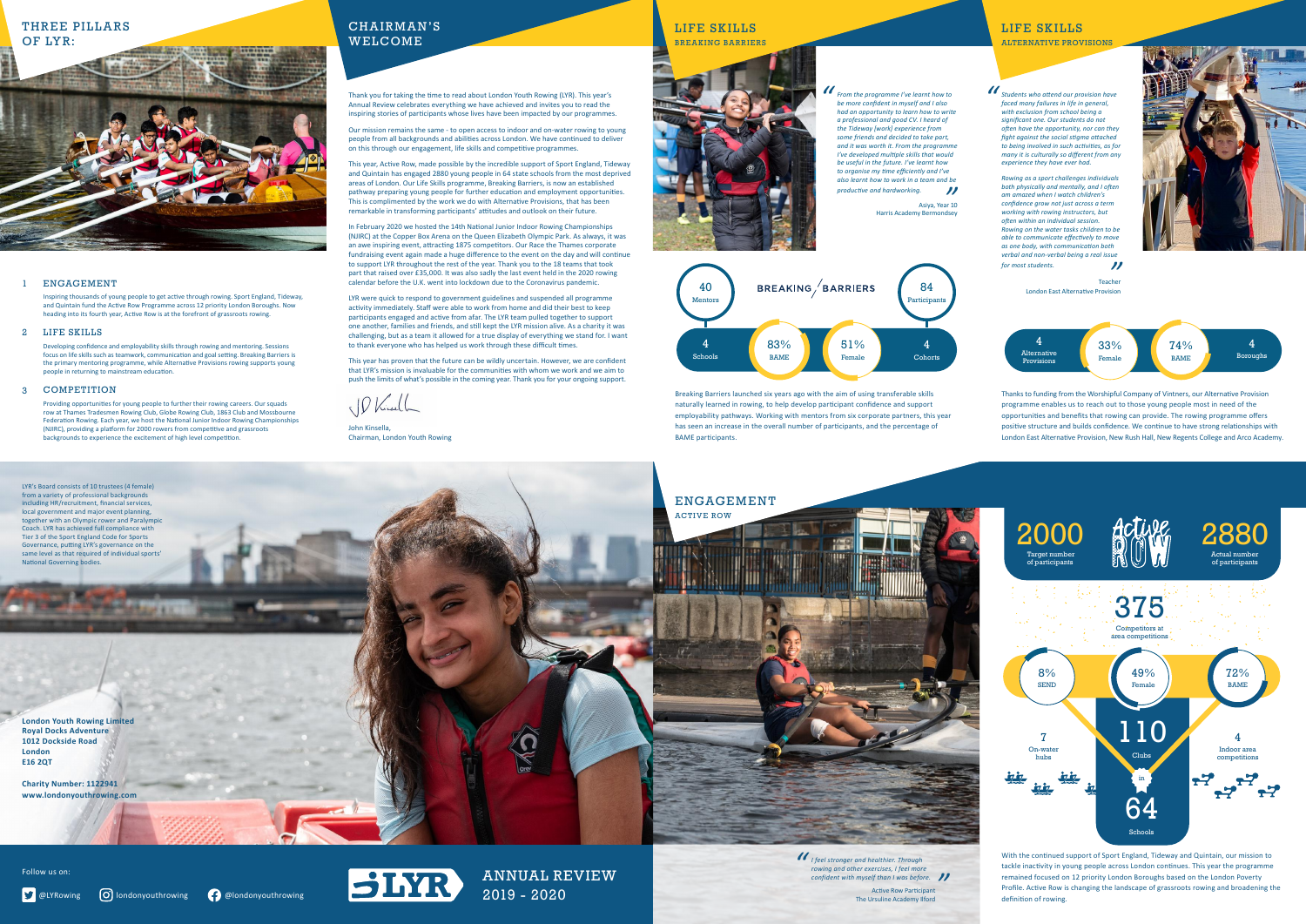Breaking Barriers launched six years ago with the aim of using transferable skills naturally learned in rowing, to help develop participant confidence and support employability pathways. Working with mentors from six corporate partners, this year has seen an increase in the overall number of participants, and the percentage of BAME participants.

THREE PILLARS OF LYR:



## LIFE SKILLS BREAKING BARRIERS

## LIFE SKILLS

ALTERNATIVE PROVISIONS

**London Youth Rowing Limited Royal Docks Adventure 1012 Dockside Road London E16 2QT**

**Charity Number: 1122941 www.londonyouthrowing.com**

## ENGAGEMENT



Thanks to funding from the Worshipful Company of Vintners, our Alternative Provision programme enables us to reach out to those young people most in need of the opportunities and benefits that rowing can provide. The rowing programme offers positive structure and builds confidence. We continue to have strong relationships with London East Alternative Provision, New Rush Hall, New Regents College and Arco Academy.

ANNUAL REVIEW 2019 - 2020

Thank you for taking the time to read about London Youth Rowing (LYR). This year's Annual Review celebrates everything we have achieved and invites you to read the inspiring stories of participants whose lives have been impacted by our programmes.

Our mission remains the same - to open access to indoor and on-water rowing to young people from all backgrounds and abilities across London. We have continued to deliver on this through our engagement, life skills and competitive programmes.

This year, Active Row, made possible by the incredible support of Sport England, Tideway and Quintain has engaged 2880 young people in 64 state schools from the most deprived areas of London. Our Life Skills programme, Breaking Barriers, is now an established pathway preparing young people for further education and employment opportunities. This is complimented by the work we do with Alternative Provisions, that has been remarkable in transforming participants' attitudes and outlook on their future.

#### 1 ENGAGEMENT

#### 2 LIFE SKILLS

#### 3 COMPETITION

CHAIRMAN'S WELCOME

In February 2020 we hosted the 14th National Junior Indoor Rowing Championships (NJIRC) at the Copper Box Arena on the Queen Elizabeth Olympic Park. As always, it was an awe inspiring event, attracting 1875 competitors. Our Race the Thames corporate fundraising event again made a huge difference to the event on the day and will continue to support LYR throughout the rest of the year. Thank you to the 18 teams that took part that raised over £35,000. It was also sadly the last event held in the 2020 rowing calendar before the U.K. went into lockdown due to the Coronavirus pandemic.

LYR were quick to respond to government guidelines and suspended all programme activity immediately. Staff were able to work from home and did their best to keep participants engaged and active from afar. The LYR team pulled together to support one another, families and friends, and still kept the LYR mission alive. As a charity it was challenging, but as a team it allowed for a true display of everything we stand for. I want to thank everyone who has helped us work through these difficult times.

This year has proven that the future can be wildly uncertain. However, we are confident that LYR's mission is invaluable for the communities with whom we work and we aim to push the limits of what's possible in the coming year. Thank you for your ongoing support.

Phiracle

John Kinsella, Chairman, London Youth Rowing

Inspiring thousands of young people to get active through rowing. Sport England, Tideway, and Quintain fund the Active Row Programme across 12 priority London Boroughs. Now heading into its fourth year, Active Row is at the forefront of grassroots rowing.

Developing confidence and employability skills through rowing and mentoring. Sessions focus on life skills such as teamwork, communication and goal setting. Breaking Barriers is the primary mentoring programme, while Alternative Provisions rowing supports young people in returning to mainstream education.

Providing opportunities for young people to further their rowing careers. Our squads row at Thames Tradesmen Rowing Club, Globe Rowing Club, 1863 Club and Mossbourne Federation Rowing. Each year, we host the National Junior Indoor Rowing Championships (NJIRC), providing a platform for 2000 rowers from competitive and grassroots backgrounds to experience the excitement of high level competition.

Follow us on:



*I feel stronger and healthier. Through rowing and other exercises, I feel more*  **confident with myself than I was before.**<br> **Active Row Participant**<br>
The Ursuline Academy Ilford *"*

Active Row Participant The Ursuline Academy Ilford

*From the programme I've learnt how to be more confident in myself and I also had an opportunity to learn how to write a professional and good CV. I heard of the Tideway [work] experience from some friends and decided to take part, and it was worth it. From the programme I've developed multiple skills that would be useful in the future. I've learnt how to organise my time efficiently and I've also learnt how to work in a team and be productive and hardworking. "*

> Asiya, Year 10 Harris Academy Bermondsey



*Students who attend our provision have faced many failures in life in general, with exclusion from school being a significant one. Our students do not often have the opportunity, nor can they fight against the social stigma attached to being involved in such activities, as for many it is culturally so different from any experience they have ever had.*

*Rowing as a sport challenges individuals both physically and mentally, and I often am amazed when I watch children's confidence grow not just across a term working with rowing instructors, but often within an individual session. Rowing on the water tasks children to be able to communicate effectively to move as one body, with communication both verbal and non-verbal being a real issue for most students. "*

> Teacher London East Alternative Provision



*"*

With the continued support of Sport England, Tideway and Quintain, our mission to tackle inactivity in young people across London continues. This year the programme remained focused on 12 priority London Boroughs based on the London Poverty Profile. Active Row is changing the landscape of grassroots rowing and broadening the definition of rowing.





LYR's Board consists of 10 trustees (4 female) from a variety of professional backgrounds including HR/recruitment, financial services, local government and major event planning, together with an Olympic rower and Paralympic Coach. LYR has achieved full compliance with Tier 3 of the Sport England Code for Sports Governance, putting LYR's governance on the same level as that required of individual sports'

National Governing bodies.